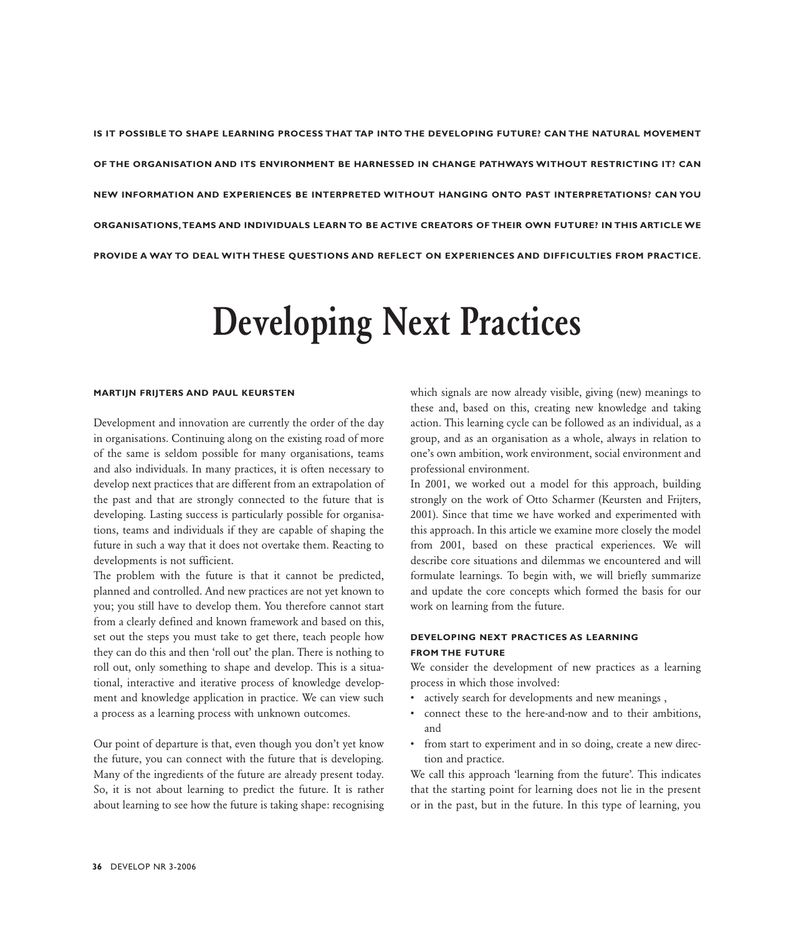**IS IT POSSIBLE TO SHAPE LEARNING PROCESS THAT TAP INTO THE DEVELOPING FUTURE? CAN THE NATURAL MOVEMENT OF THE ORGANISATION AND ITS ENVIRONMENT BE HARNESSED IN CHANGE PATHWAYS WITHOUT RESTRICTING IT? CAN NEW INFORMATION AND EXPERIENCES BE INTERPRETED WITHOUT HANGING ONTO PAST INTERPRETATIONS? CAN YOU ORGANISATIONS,TEAMS AND INDIVIDUALS LEARN TO BE ACTIVE CREATORS OF THEIR OWN FUTURE? IN THIS ARTICLE WE PROVIDE A WAY TO DEAL WITH THESE QUESTIONS AND REFLECT ON EXPERIENCES AND DIFFICULTIES FROM PRACTICE.**

# Developing Next Practices

#### **MARTIJN FRIJTERS AND PAUL KEURSTEN**

Development and innovation are currently the order of the day in organisations. Continuing along on the existing road of more of the same is seldom possible for many organisations, teams and also individuals. In many practices, it is often necessary to develop next practices that are different from an extrapolation of the past and that are strongly connected to the future that is developing. Lasting success is particularly possible for organisations, teams and individuals if they are capable of shaping the future in such a way that it does not overtake them. Reacting to developments is not sufficient.

The problem with the future is that it cannot be predicted, planned and controlled. And new practices are not yet known to you; you still have to develop them. You therefore cannot start from a clearly defined and known framework and based on this, set out the steps you must take to get there, teach people how they can do this and then 'roll out' the plan. There is nothing to roll out, only something to shape and develop. This is a situational, interactive and iterative process of knowledge development and knowledge application in practice. We can view such a process as a learning process with unknown outcomes.

Our point of departure is that, even though you don't yet know the future, you can connect with the future that is developing. Many of the ingredients of the future are already present today. So, it is not about learning to predict the future. It is rather about learning to see how the future is taking shape: recognising which signals are now already visible, giving (new) meanings to these and, based on this, creating new knowledge and taking action. This learning cycle can be followed as an individual, as a group, and as an organisation as a whole, always in relation to one's own ambition, work environment, social environment and professional environment.

In 2001, we worked out a model for this approach, building strongly on the work of Otto Scharmer (Keursten and Frijters, 2001). Since that time we have worked and experimented with this approach. In this article we examine more closely the model from 2001, based on these practical experiences. We will describe core situations and dilemmas we encountered and will formulate learnings. To begin with, we will briefly summarize and update the core concepts which formed the basis for our work on learning from the future.

# **DEVELOPING NEXT PRACTICES AS LEARNING FROM THE FUTURE**

We consider the development of new practices as a learning process in which those involved:

- actively search for developments and new meanings ,
- connect these to the here-and-now and to their ambitions, and
- from start to experiment and in so doing, create a new direction and practice.

We call this approach 'learning from the future'. This indicates that the starting point for learning does not lie in the present or in the past, but in the future. In this type of learning, you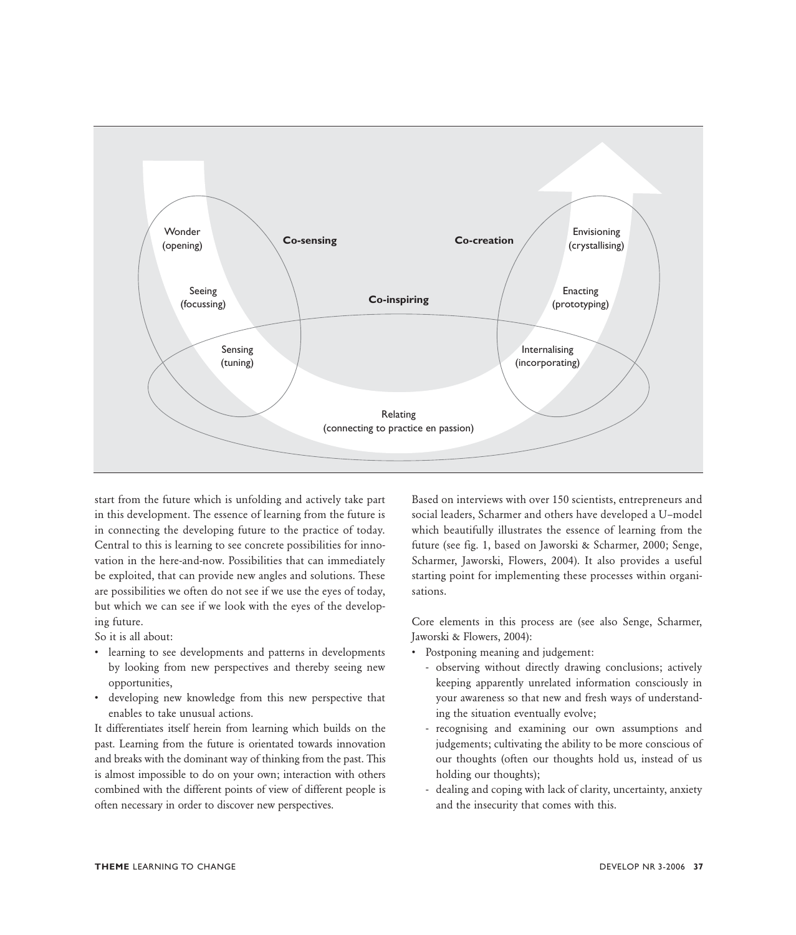

start from the future which is unfolding and actively take part in this development. The essence of learning from the future is in connecting the developing future to the practice of today. Central to this is learning to see concrete possibilities for innovation in the here-and-now. Possibilities that can immediately be exploited, that can provide new angles and solutions. These are possibilities we often do not see if we use the eyes of today, but which we can see if we look with the eyes of the developing future.

So it is all about:

- learning to see developments and patterns in developments by looking from new perspectives and thereby seeing new opportunities,
- developing new knowledge from this new perspective that enables to take unusual actions.

It differentiates itself herein from learning which builds on the past. Learning from the future is orientated towards innovation and breaks with the dominant way of thinking from the past. This is almost impossible to do on your own; interaction with others combined with the different points of view of different people is often necessary in order to discover new perspectives.

Based on interviews with over 150 scientists, entrepreneurs and social leaders, Scharmer and others have developed a U–model which beautifully illustrates the essence of learning from the future (see fig. 1, based on Jaworski & Scharmer, 2000; Senge, Scharmer, Jaworski, Flowers, 2004). It also provides a useful starting point for implementing these processes within organisations.

Core elements in this process are (see also Senge, Scharmer, Jaworski & Flowers, 2004):

- Postponing meaning and judgement:
	- observing without directly drawing conclusions; actively keeping apparently unrelated information consciously in your awareness so that new and fresh ways of understanding the situation eventually evolve;
	- recognising and examining our own assumptions and judgements; cultivating the ability to be more conscious of our thoughts (often our thoughts hold us, instead of us holding our thoughts);
	- dealing and coping with lack of clarity, uncertainty, anxiety and the insecurity that comes with this.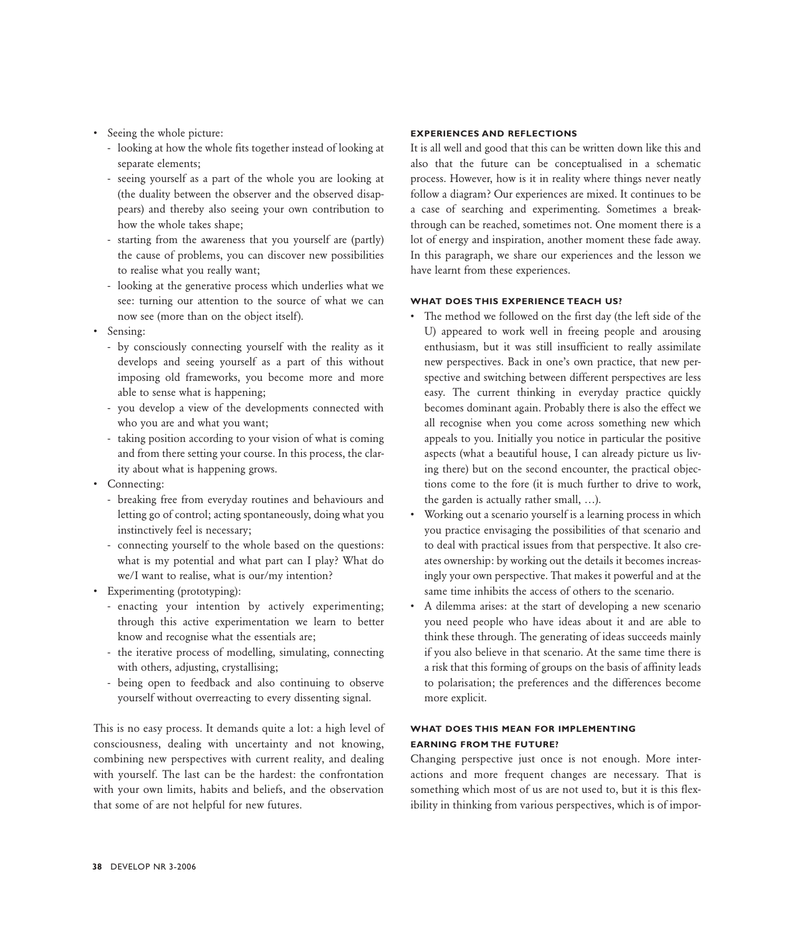- Seeing the whole picture:
	- looking at how the whole fits together instead of looking at separate elements;
	- seeing yourself as a part of the whole you are looking at (the duality between the observer and the observed disappears) and thereby also seeing your own contribution to how the whole takes shape;
	- starting from the awareness that you yourself are (partly) the cause of problems, you can discover new possibilities to realise what you really want;
	- looking at the generative process which underlies what we see: turning our attention to the source of what we can now see (more than on the object itself).
- Sensing:
	- by consciously connecting yourself with the reality as it develops and seeing yourself as a part of this without imposing old frameworks, you become more and more able to sense what is happening;
	- you develop a view of the developments connected with who you are and what you want;
	- taking position according to your vision of what is coming and from there setting your course. In this process, the clarity about what is happening grows.
- Connecting:
	- breaking free from everyday routines and behaviours and letting go of control; acting spontaneously, doing what you instinctively feel is necessary;
	- connecting yourself to the whole based on the questions: what is my potential and what part can I play? What do we/I want to realise, what is our/my intention?
- Experimenting (prototyping):
	- enacting your intention by actively experimenting; through this active experimentation we learn to better know and recognise what the essentials are;
	- the iterative process of modelling, simulating, connecting with others, adjusting, crystallising;
	- being open to feedback and also continuing to observe yourself without overreacting to every dissenting signal.

This is no easy process. It demands quite a lot: a high level of consciousness, dealing with uncertainty and not knowing, combining new perspectives with current reality, and dealing with yourself. The last can be the hardest: the confrontation with your own limits, habits and beliefs, and the observation that some of are not helpful for new futures.

#### **EXPERIENCES AND REFLECTIONS**

It is all well and good that this can be written down like this and also that the future can be conceptualised in a schematic process. However, how is it in reality where things never neatly follow a diagram? Our experiences are mixed. It continues to be a case of searching and experimenting. Sometimes a breakthrough can be reached, sometimes not. One moment there is a lot of energy and inspiration, another moment these fade away. In this paragraph, we share our experiences and the lesson we have learnt from these experiences.

### **WHAT DOES THIS EXPERIENCE TEACH US?**

- The method we followed on the first day (the left side of the U) appeared to work well in freeing people and arousing enthusiasm, but it was still insufficient to really assimilate new perspectives. Back in one's own practice, that new perspective and switching between different perspectives are less easy. The current thinking in everyday practice quickly becomes dominant again. Probably there is also the effect we all recognise when you come across something new which appeals to you. Initially you notice in particular the positive aspects (what a beautiful house, I can already picture us living there) but on the second encounter, the practical objections come to the fore (it is much further to drive to work, the garden is actually rather small, …).
- Working out a scenario yourself is a learning process in which you practice envisaging the possibilities of that scenario and to deal with practical issues from that perspective. It also creates ownership: by working out the details it becomes increasingly your own perspective. That makes it powerful and at the same time inhibits the access of others to the scenario.
- A dilemma arises: at the start of developing a new scenario you need people who have ideas about it and are able to think these through. The generating of ideas succeeds mainly if you also believe in that scenario. At the same time there is a risk that this forming of groups on the basis of affinity leads to polarisation; the preferences and the differences become more explicit.

# **WHAT DOES THIS MEAN FOR IMPLEMENTING EARNING FROM THE FUTURE?**

Changing perspective just once is not enough. More interactions and more frequent changes are necessary. That is something which most of us are not used to, but it is this flexibility in thinking from various perspectives, which is of impor-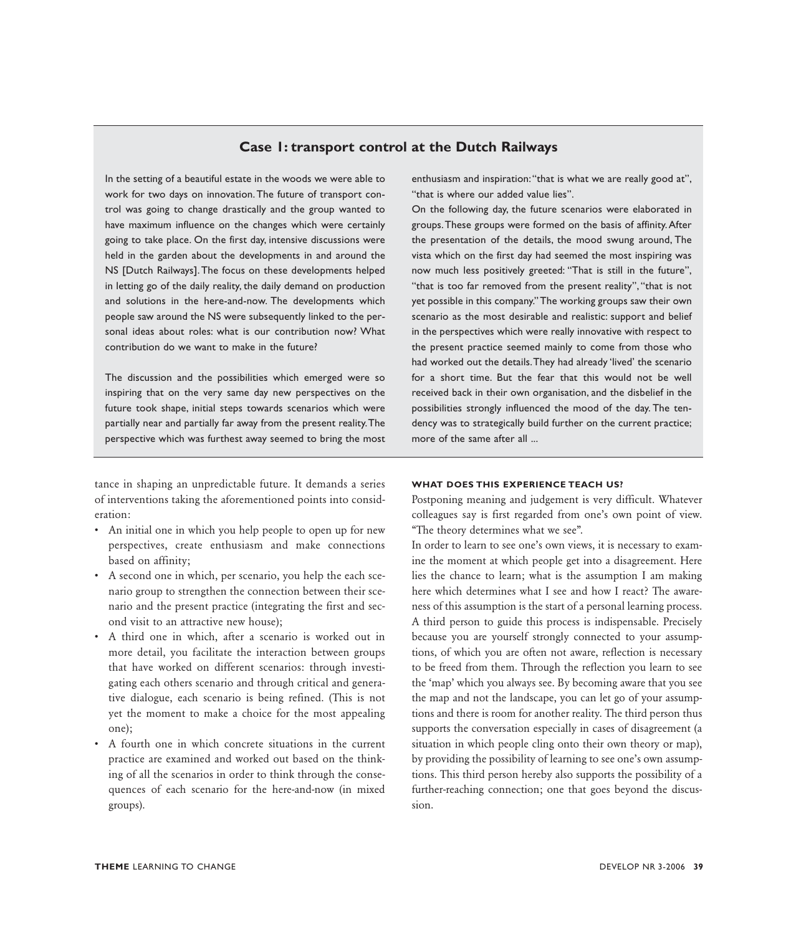## **Case 1: transport control at the Dutch Railways**

In the setting of a beautiful estate in the woods we were able to work for two days on innovation.The future of transport control was going to change drastically and the group wanted to have maximum influence on the changes which were certainly going to take place. On the first day, intensive discussions were held in the garden about the developments in and around the NS [Dutch Railways].The focus on these developments helped in letting go of the daily reality, the daily demand on production and solutions in the here-and-now. The developments which people saw around the NS were subsequently linked to the personal ideas about roles: what is our contribution now? What contribution do we want to make in the future?

The discussion and the possibilities which emerged were so inspiring that on the very same day new perspectives on the future took shape, initial steps towards scenarios which were partially near and partially far away from the present reality.The perspective which was furthest away seemed to bring the most

tance in shaping an unpredictable future. It demands a series of interventions taking the aforementioned points into consideration:

- An initial one in which you help people to open up for new perspectives, create enthusiasm and make connections based on affinity;
- A second one in which, per scenario, you help the each scenario group to strengthen the connection between their scenario and the present practice (integrating the first and second visit to an attractive new house);
- A third one in which, after a scenario is worked out in more detail, you facilitate the interaction between groups that have worked on different scenarios: through investigating each others scenario and through critical and generative dialogue, each scenario is being refined. (This is not yet the moment to make a choice for the most appealing one);
- A fourth one in which concrete situations in the current practice are examined and worked out based on the thinking of all the scenarios in order to think through the consequences of each scenario for the here-and-now (in mixed groups).

enthusiasm and inspiration:"that is what we are really good at", "that is where our added value lies".

On the following day, the future scenarios were elaborated in groups.These groups were formed on the basis of affinity.After the presentation of the details, the mood swung around, The vista which on the first day had seemed the most inspiring was now much less positively greeted: "That is still in the future", "that is too far removed from the present reality", "that is not yet possible in this company." The working groups saw their own scenario as the most desirable and realistic: support and belief in the perspectives which were really innovative with respect to the present practice seemed mainly to come from those who had worked out the details.They had already 'lived' the scenario for a short time. But the fear that this would not be well received back in their own organisation, and the disbelief in the possibilities strongly influenced the mood of the day. The tendency was to strategically build further on the current practice; more of the same after all ...

#### **WHAT DOES THIS EXPERIENCE TEACH US?**

Postponing meaning and judgement is very difficult. Whatever colleagues say is first regarded from one's own point of view. "The theory determines what we see".

In order to learn to see one's own views, it is necessary to examine the moment at which people get into a disagreement. Here lies the chance to learn; what is the assumption I am making here which determines what I see and how I react? The awareness of this assumption is the start of a personal learning process. A third person to guide this process is indispensable. Precisely because you are yourself strongly connected to your assumptions, of which you are often not aware, reflection is necessary to be freed from them. Through the reflection you learn to see the 'map' which you always see. By becoming aware that you see the map and not the landscape, you can let go of your assumptions and there is room for another reality. The third person thus supports the conversation especially in cases of disagreement (a situation in which people cling onto their own theory or map), by providing the possibility of learning to see one's own assumptions. This third person hereby also supports the possibility of a further-reaching connection; one that goes beyond the discussion.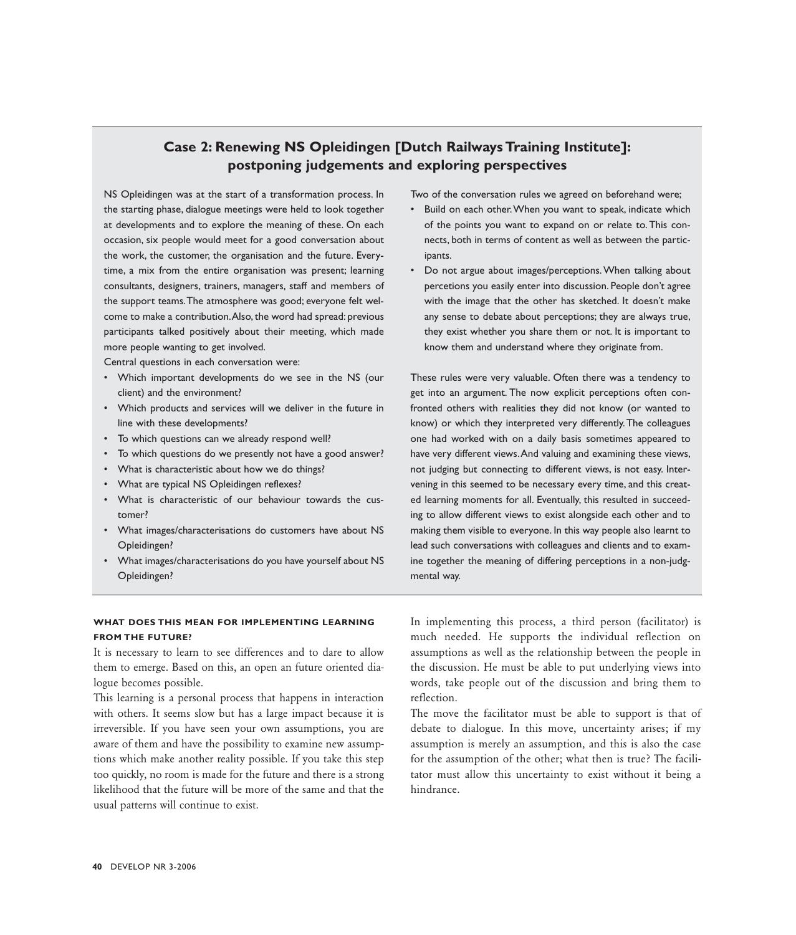# **Case 2: Renewing NS Opleidingen [Dutch Railways Training Institute]: postponing judgements and exploring perspectives**

NS Opleidingen was at the start of a transformation process. In the starting phase, dialogue meetings were held to look together at developments and to explore the meaning of these. On each occasion, six people would meet for a good conversation about the work, the customer, the organisation and the future. Everytime, a mix from the entire organisation was present; learning consultants, designers, trainers, managers, staff and members of the support teams.The atmosphere was good; everyone felt welcome to make a contribution.Also, the word had spread: previous participants talked positively about their meeting, which made more people wanting to get involved.

Central questions in each conversation were:

- Which important developments do we see in the NS (our client) and the environment?
- Which products and services will we deliver in the future in line with these developments?
- To which questions can we already respond well?
- To which questions do we presently not have a good answer?
- What is characteristic about how we do things?
- What are typical NS Opleidingen reflexes?
- What is characteristic of our behaviour towards the customer?
- What images/characterisations do customers have about NS Opleidingen?
- What images/characterisations do you have yourself about NS Opleidingen?

Two of the conversation rules we agreed on beforehand were;

- Build on each other.When you want to speak, indicate which of the points you want to expand on or relate to. This connects, both in terms of content as well as between the participants.
- Do not argue about images/perceptions. When talking about percetions you easily enter into discussion. People don't agree with the image that the other has sketched. It doesn't make any sense to debate about perceptions; they are always true, they exist whether you share them or not. It is important to know them and understand where they originate from.

These rules were very valuable. Often there was a tendency to get into an argument. The now explicit perceptions often confronted others with realities they did not know (or wanted to know) or which they interpreted very differently.The colleagues one had worked with on a daily basis sometimes appeared to have very different views.And valuing and examining these views, not judging but connecting to different views, is not easy. Intervening in this seemed to be necessary every time, and this created learning moments for all. Eventually, this resulted in succeeding to allow different views to exist alongside each other and to making them visible to everyone. In this way people also learnt to lead such conversations with colleagues and clients and to examine together the meaning of differing perceptions in a non-judgmental way.

## **WHAT DOES THIS MEAN FOR IMPLEMENTING LEARNING FROM THE FUTURE?**

It is necessary to learn to see differences and to dare to allow them to emerge. Based on this, an open an future oriented dialogue becomes possible.

This learning is a personal process that happens in interaction with others. It seems slow but has a large impact because it is irreversible. If you have seen your own assumptions, you are aware of them and have the possibility to examine new assumptions which make another reality possible. If you take this step too quickly, no room is made for the future and there is a strong likelihood that the future will be more of the same and that the usual patterns will continue to exist.

In implementing this process, a third person (facilitator) is much needed. He supports the individual reflection on assumptions as well as the relationship between the people in the discussion. He must be able to put underlying views into words, take people out of the discussion and bring them to reflection.

The move the facilitator must be able to support is that of debate to dialogue. In this move, uncertainty arises; if my assumption is merely an assumption, and this is also the case for the assumption of the other; what then is true? The facilitator must allow this uncertainty to exist without it being a hindrance.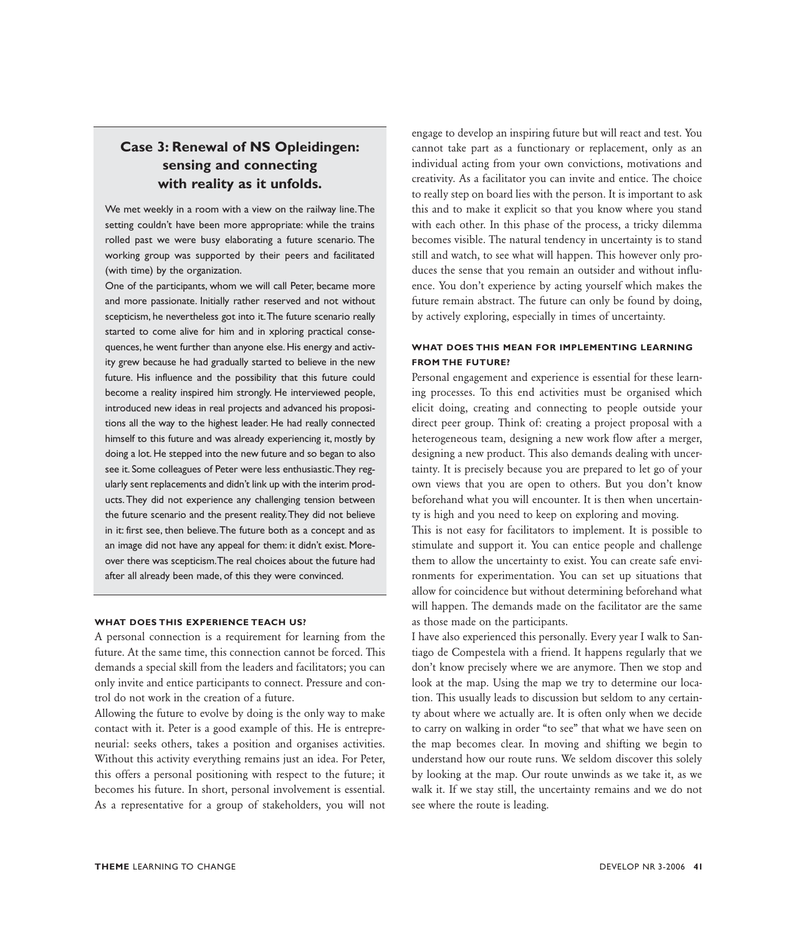# **Case 3: Renewal of NS Opleidingen: sensing and connecting with reality as it unfolds.**

We met weekly in a room with a view on the railway line.The setting couldn't have been more appropriate: while the trains rolled past we were busy elaborating a future scenario. The working group was supported by their peers and facilitated (with time) by the organization.

One of the participants, whom we will call Peter, became more and more passionate. Initially rather reserved and not without scepticism, he nevertheless got into it.The future scenario really started to come alive for him and in xploring practical consequences, he went further than anyone else. His energy and activity grew because he had gradually started to believe in the new future. His influence and the possibility that this future could become a reality inspired him strongly. He interviewed people, introduced new ideas in real projects and advanced his propositions all the way to the highest leader. He had really connected himself to this future and was already experiencing it, mostly by doing a lot. He stepped into the new future and so began to also see it. Some colleagues of Peter were less enthusiastic.They regularly sent replacements and didn't link up with the interim products. They did not experience any challenging tension between the future scenario and the present reality.They did not believe in it: first see, then believe.The future both as a concept and as an image did not have any appeal for them: it didn't exist. Moreover there was scepticism.The real choices about the future had after all already been made, of this they were convinced.

#### **WHAT DOES THIS EXPERIENCE TEACH US?**

A personal connection is a requirement for learning from the future. At the same time, this connection cannot be forced. This demands a special skill from the leaders and facilitators; you can only invite and entice participants to connect. Pressure and control do not work in the creation of a future.

Allowing the future to evolve by doing is the only way to make contact with it. Peter is a good example of this. He is entrepreneurial: seeks others, takes a position and organises activities. Without this activity everything remains just an idea. For Peter, this offers a personal positioning with respect to the future; it becomes his future. In short, personal involvement is essential. As a representative for a group of stakeholders, you will not engage to develop an inspiring future but will react and test. You cannot take part as a functionary or replacement, only as an individual acting from your own convictions, motivations and creativity. As a facilitator you can invite and entice. The choice to really step on board lies with the person. It is important to ask this and to make it explicit so that you know where you stand with each other. In this phase of the process, a tricky dilemma becomes visible. The natural tendency in uncertainty is to stand still and watch, to see what will happen. This however only produces the sense that you remain an outsider and without influence. You don't experience by acting yourself which makes the future remain abstract. The future can only be found by doing, by actively exploring, especially in times of uncertainty.

# **WHAT DOES THIS MEAN FOR IMPLEMENTING LEARNING FROM THE FUTURE?**

Personal engagement and experience is essential for these learning processes. To this end activities must be organised which elicit doing, creating and connecting to people outside your direct peer group. Think of: creating a project proposal with a heterogeneous team, designing a new work flow after a merger, designing a new product. This also demands dealing with uncertainty. It is precisely because you are prepared to let go of your own views that you are open to others. But you don't know beforehand what you will encounter. It is then when uncertainty is high and you need to keep on exploring and moving.

This is not easy for facilitators to implement. It is possible to stimulate and support it. You can entice people and challenge them to allow the uncertainty to exist. You can create safe environments for experimentation. You can set up situations that allow for coincidence but without determining beforehand what will happen. The demands made on the facilitator are the same as those made on the participants.

I have also experienced this personally. Every year I walk to Santiago de Compestela with a friend. It happens regularly that we don't know precisely where we are anymore. Then we stop and look at the map. Using the map we try to determine our location. This usually leads to discussion but seldom to any certainty about where we actually are. It is often only when we decide to carry on walking in order "to see" that what we have seen on the map becomes clear. In moving and shifting we begin to understand how our route runs. We seldom discover this solely by looking at the map. Our route unwinds as we take it, as we walk it. If we stay still, the uncertainty remains and we do not see where the route is leading.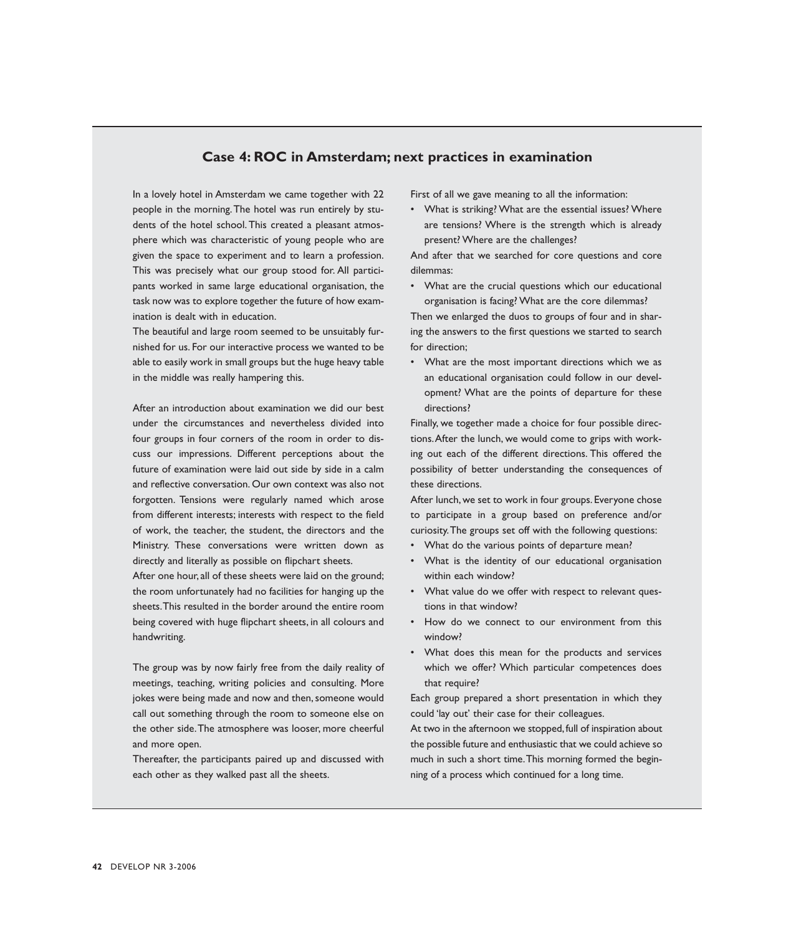# **Case 4: ROC in Amsterdam; next practices in examination**

In a lovely hotel in Amsterdam we came together with 22 people in the morning.The hotel was run entirely by students of the hotel school. This created a pleasant atmosphere which was characteristic of young people who are given the space to experiment and to learn a profession. This was precisely what our group stood for. All participants worked in same large educational organisation, the task now was to explore together the future of how examination is dealt with in education.

The beautiful and large room seemed to be unsuitably furnished for us. For our interactive process we wanted to be able to easily work in small groups but the huge heavy table in the middle was really hampering this.

After an introduction about examination we did our best under the circumstances and nevertheless divided into four groups in four corners of the room in order to discuss our impressions. Different perceptions about the future of examination were laid out side by side in a calm and reflective conversation. Our own context was also not forgotten. Tensions were regularly named which arose from different interests; interests with respect to the field of work, the teacher, the student, the directors and the Ministry. These conversations were written down as directly and literally as possible on flipchart sheets.

After one hour, all of these sheets were laid on the ground; the room unfortunately had no facilities for hanging up the sheets.This resulted in the border around the entire room being covered with huge flipchart sheets, in all colours and handwriting.

The group was by now fairly free from the daily reality of meetings, teaching, writing policies and consulting. More jokes were being made and now and then, someone would call out something through the room to someone else on the other side.The atmosphere was looser, more cheerful and more open.

Thereafter, the participants paired up and discussed with each other as they walked past all the sheets.

First of all we gave meaning to all the information:

• What is striking? What are the essential issues? Where are tensions? Where is the strength which is already present? Where are the challenges?

And after that we searched for core questions and core dilemmas:

• What are the crucial questions which our educational organisation is facing? What are the core dilemmas?

Then we enlarged the duos to groups of four and in sharing the answers to the first questions we started to search for direction;

• What are the most important directions which we as an educational organisation could follow in our development? What are the points of departure for these directions?

Finally, we together made a choice for four possible directions.After the lunch, we would come to grips with working out each of the different directions. This offered the possibility of better understanding the consequences of these directions.

After lunch, we set to work in four groups. Everyone chose to participate in a group based on preference and/or curiosity.The groups set off with the following questions:

- What do the various points of departure mean?
- What is the identity of our educational organisation within each window?
- What value do we offer with respect to relevant questions in that window?
- How do we connect to our environment from this window?
- What does this mean for the products and services which we offer? Which particular competences does that require?

Each group prepared a short presentation in which they could 'lay out' their case for their colleagues.

At two in the afternoon we stopped, full of inspiration about the possible future and enthusiastic that we could achieve so much in such a short time.This morning formed the beginning of a process which continued for a long time.